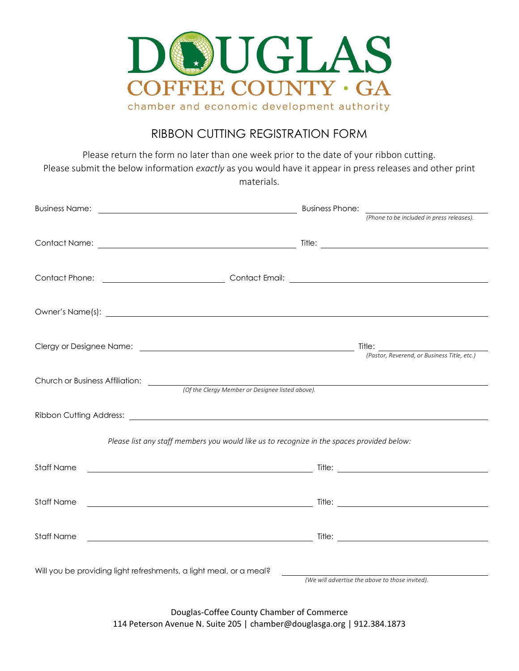

## RIBBON CUTTING REGISTRATION FORM

Please return the form no later than one week prior to the date of your ribbon cutting. Please submit the below information *exactly* as you would have it appear in press releases and other print materials.

|                                                                                                                                                                                                                                      | <b>Business Phone:</b>                                                                                                                                                                                                               |
|--------------------------------------------------------------------------------------------------------------------------------------------------------------------------------------------------------------------------------------|--------------------------------------------------------------------------------------------------------------------------------------------------------------------------------------------------------------------------------------|
|                                                                                                                                                                                                                                      | (Phone to be included in press releases).                                                                                                                                                                                            |
|                                                                                                                                                                                                                                      |                                                                                                                                                                                                                                      |
|                                                                                                                                                                                                                                      | Contact Phone: <u>Contact Email:</u> Contact Email: Contact Email: Contact Email: Contact Phone: Contact Phone: Contact Email: Contact Email: Contact Email: Contact Phone: Contact Phone: Contact Phone: Contact Phone: Contact Ph  |
| Owner's Name(s): <u>contract the contract of the contract of the contract of the contract of the contract of the contract of the contract of the contract of the contract of the contract of the contract of the contract of the</u> |                                                                                                                                                                                                                                      |
|                                                                                                                                                                                                                                      | Clergy or Designee Name:  Clergy or Designee Name:  Clergy or Designee Name:  (Pastor, Reverend, or Business Title, etc.)                                                                                                            |
|                                                                                                                                                                                                                                      | Church or Business Affiliation: (Of the Clergy Member or Designee listed above).                                                                                                                                                     |
|                                                                                                                                                                                                                                      |                                                                                                                                                                                                                                      |
|                                                                                                                                                                                                                                      | Please list any staff members you would like us to recognize in the spaces provided below:                                                                                                                                           |
| <b>Staff Name</b>                                                                                                                                                                                                                    |                                                                                                                                                                                                                                      |
| <b>Staff Name</b>                                                                                                                                                                                                                    | <u>in the second contract of the second contract of the second contract of the second contract of the second contract of the second contract of the second contract of the second contract of the second contract of the second </u> |
| <b>Staff Name</b>                                                                                                                                                                                                                    | <u>Experimental contracts and the second second second second second second second second second second second second</u>                                                                                                            |
| Will you be providing light refreshments, a light meal, or a meal?                                                                                                                                                                   | (We will advertise the above to those invited).                                                                                                                                                                                      |
|                                                                                                                                                                                                                                      |                                                                                                                                                                                                                                      |

Douglas-Coffee County Chamber of Commerce 114 Peterson Avenue N. Suite 205 | chamber@douglasga.org | 912.384.1873